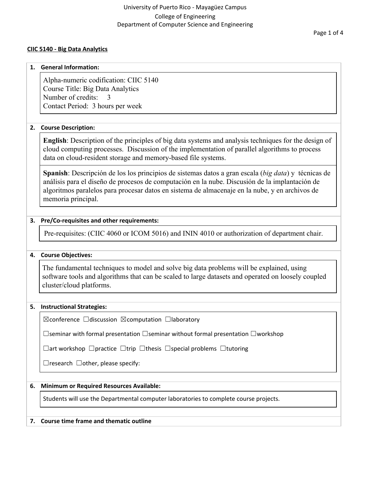#### **CIIC 5140 - Big Data Analytics**

#### **1. General Information:**

Alpha-numeric codification: CIIC 5140 Course Title: Big Data Analytics Number of credits: Contact Period: 3 hours per week

## **2. Course Description:**

**English**: Description of the principles of big data systems and analysis techniques for the design of cloud computing processes. Discussion of the implementation of parallel algorithms to process data on cloud-resident storage and memory-based file systems.

**Spanish**: Descripción de los los principios de sistemas datos a gran escala (*big data*) y técnicas de análisis para el diseño de procesos de computación en la nube. Discusión de la implantación de algoritmos paralelos para procesar datos en sistema de almacenaje en la nube, y en archivos de memoria principal.

#### **3. Pre/Co-requisites and other requirements:**

Pre-requisites: (CIIC 4060 or ICOM 5016) and ININ 4010 or authorization of department chair.

#### **4. Course Objectives:**

The fundamental techniques to model and solve big data problems will be explained, using software tools and algorithms that can be scaled to large datasets and operated on loosely coupled cluster/cloud platforms.

#### **5. Instructional Strategies:**

☒conference ☐discussion ☒computation ☐laboratory

☐seminar with formal presentation ☐seminar without formal presentation ☐workshop

☐art workshop ☐practice ☐trip ☐thesis ☐special problems ☐tutoring

 $\Box$ research  $\Box$ other, please specify:

#### **6. Minimum or Required Resources Available:**

Students will use the Departmental computer laboratories to complete course projects.

#### **7. Course time frame and thematic outline**

Page 1 of 4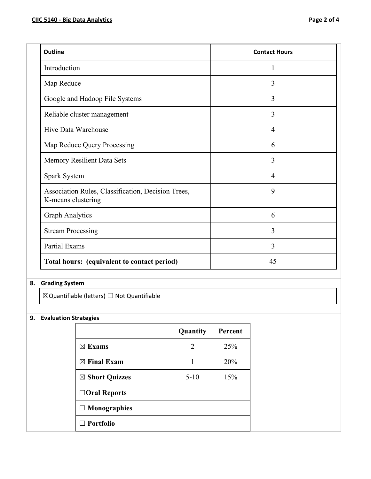| <b>Outline</b>                                                           | <b>Contact Hours</b> |
|--------------------------------------------------------------------------|----------------------|
| Introduction                                                             | 1                    |
| Map Reduce                                                               | 3                    |
| Google and Hadoop File Systems                                           | 3                    |
| Reliable cluster management                                              | 3                    |
| Hive Data Warehouse                                                      | $\overline{4}$       |
| Map Reduce Query Processing                                              | 6                    |
| Memory Resilient Data Sets                                               | 3                    |
| Spark System                                                             | $\overline{4}$       |
| Association Rules, Classification, Decision Trees,<br>K-means clustering | 9                    |
| <b>Graph Analytics</b>                                                   | 6                    |
| <b>Stream Processing</b>                                                 | 3                    |
| Partial Exams                                                            | 3                    |
| Total hours: (equivalent to contact period)                              | 45                   |

# **8. Grading System**

☒Quantifiable (letters) ☐ Not Quantifiable

# **9. Evaluation Strategies**

|                           | Quantity | Percent |
|---------------------------|----------|---------|
| $\boxtimes$ Exams         | 2        | 25%     |
| $\boxtimes$ Final Exam    |          | 20%     |
| $\boxtimes$ Short Quizzes | $5 - 10$ | 15%     |
| $\Box$ Oral Reports       |          |         |
| $\Box$ Monographies       |          |         |
| $\Box$ Portfolio          |          |         |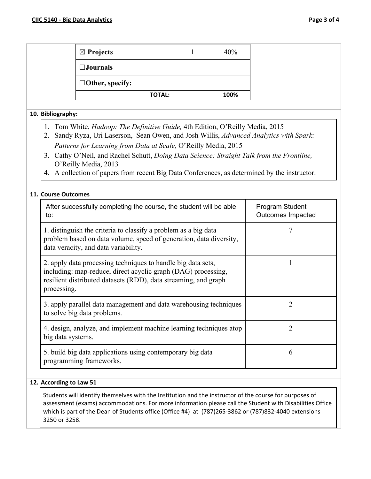| $\boxtimes$ Projects   | 40%  |
|------------------------|------|
| $\square$ Journals     |      |
| $\Box$ Other, specify: |      |
| <b>TOTAL:</b>          | 100% |

#### **10. Bibliography:**

- 1. Tom White, *Hadoop: The Definitive Guide,* 4th Edition, O'Reilly Media, 2015
- 2. Sandy Ryza, Uri Laserson, Sean Owen, and Josh Willis, *Advanced Analytics with Spark: Patterns for Learning from Data at Scale,* O'Reilly Media, 2015
- 3. Cathy O'Neil, and Rachel Schutt, *Doing Data Science: Straight Talk from the Frontline,* O'Reilly Media, 2013
- 4. A collection of papers from recent Big Data Conferences, as determined by the instructor.

# **11. Course Outcomes**

| After successfully completing the course, the student will be able<br>to:                                                                                                                                       | Program Student<br>Outcomes Impacted |
|-----------------------------------------------------------------------------------------------------------------------------------------------------------------------------------------------------------------|--------------------------------------|
| 1. distinguish the criteria to classify a problem as a big data<br>problem based on data volume, speed of generation, data diversity,<br>data veracity, and data variability.                                   |                                      |
| 2. apply data processing techniques to handle big data sets,<br>including: map-reduce, direct acyclic graph (DAG) processing,<br>resilient distributed datasets (RDD), data streaming, and graph<br>processing. |                                      |
| 3. apply parallel data management and data warehousing techniques<br>to solve big data problems.                                                                                                                | 2                                    |
| 4. design, analyze, and implement machine learning techniques atop<br>big data systems.                                                                                                                         | $\overline{2}$                       |
| 5. build big data applications using contemporary big data<br>programming frameworks.                                                                                                                           | 6                                    |

## **12. According to Law 51**

Students will identify themselves with the Institution and the instructor of the course for purposes of assessment (exams) accommodations. For more information please call the Student with Disabilities Office which is part of the Dean of Students office (Office #4) at (787)265-3862 or (787)832-4040 extensions 3250 or 3258.